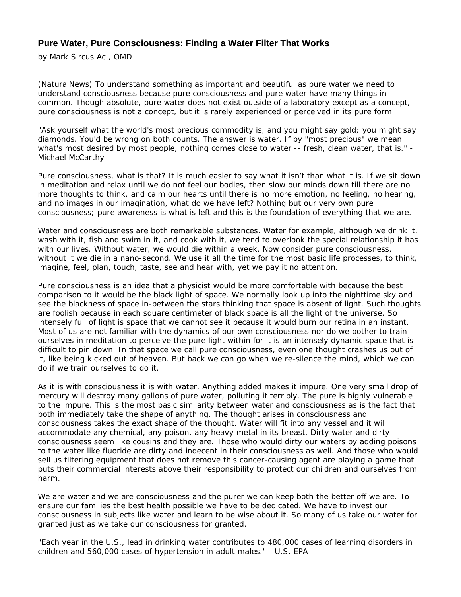## **Pure Water, Pure Consciousness: Finding a Water Filter That Works**

by Mark Sircus Ac., OMD

(NaturalNews) To understand something as important and beautiful as pure water we need to understand consciousness because pure consciousness and pure water have many things in common. Though absolute, pure water does not exist outside of a laboratory except as a concept, pure consciousness is not a concept, but it is rarely experienced or perceived in its pure form.

"Ask yourself what the world's most precious commodity is, and you might say gold; you might say diamonds. You'd be wrong on both counts. The answer is water. If by "most precious" we mean what's most desired by most people, nothing comes close to water -- fresh, clean water, that is." -Michael McCarthy

Pure consciousness, what is that? It is much easier to say what it isn't than what it is. If we sit down in meditation and relax until we do not feel our bodies, then slow our minds down till there are no more thoughts to think, and calm our hearts until there is no more emotion, no feeling, no hearing, and no images in our imagination, what do we have left? Nothing but our very own pure consciousness; pure awareness is what is left and this is the foundation of everything that we are.

Water and consciousness are both remarkable substances. Water for example, although we drink it, wash with it, fish and swim in it, and cook with it, we tend to overlook the special relationship it has with our lives. Without water, we would die within a week. Now consider pure consciousness, without it we die in a nano-second. We use it all the time for the most basic life processes, to think, imagine, feel, plan, touch, taste, see and hear with, yet we pay it no attention.

Pure consciousness is an idea that a physicist would be more comfortable with because the best comparison to it would be the black light of space. We normally look up into the nighttime sky and see the blackness of space in-between the stars thinking that space is absent of light. Such thoughts are foolish because in each square centimeter of black space is all the light of the universe. So intensely full of light is space that we cannot see it because it would burn our retina in an instant. Most of us are not familiar with the dynamics of our own consciousness nor do we bother to train ourselves in meditation to perceive the pure light within for it is an intensely dynamic space that is difficult to pin down. In that space we call pure consciousness, even one thought crashes us out of it, like being kicked out of heaven. But back we can go when we re-silence the mind, which we can do if we train ourselves to do it.

As it is with consciousness it is with water. Anything added makes it impure. One very small drop of mercury will destroy many gallons of pure water, polluting it terribly. The pure is highly vulnerable to the impure. This is the most basic similarity between water and consciousness as is the fact that both immediately take the shape of anything. The thought arises in consciousness and consciousness takes the exact shape of the thought. Water will fit into any vessel and it will accommodate any chemical, any poison, any heavy metal in its breast. Dirty water and dirty consciousness seem like cousins and they are. Those who would dirty our waters by adding poisons to the water like fluoride are dirty and indecent in their consciousness as well. And those who would sell us filtering equipment that does not remove this cancer-causing agent are playing a game that puts their commercial interests above their responsibility to protect our children and ourselves from harm.

We are water and we are consciousness and the purer we can keep both the better off we are. To ensure our families the best health possible we have to be dedicated. We have to invest our consciousness in subjects like water and learn to be wise about it. So many of us take our water for granted just as we take our consciousness for granted.

"Each year in the U.S., lead in drinking water contributes to 480,000 cases of learning disorders in children and 560,000 cases of hypertension in adult males." - U.S. EPA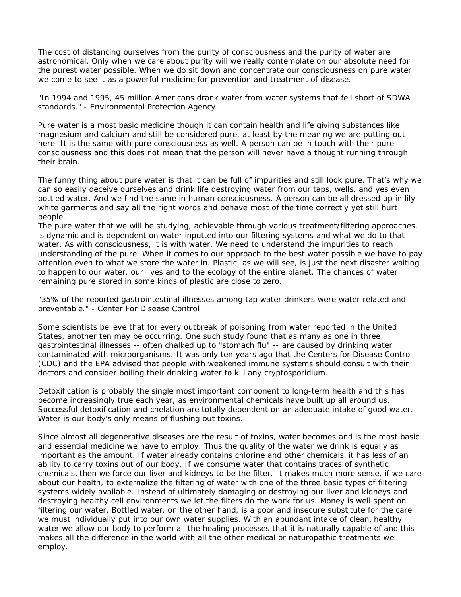The cost of distancing ourselves from the purity of consciousness and the purity of water are astronomical. Only when we care about purity will we really contemplate on our absolute need for the purest water possible. When we do sit down and concentrate our consciousness on pure water we come to see it as a powerful medicine for prevention and treatment of disease.

"In 1994 and 1995, 45 million Americans drank water from water systems that fell short of SDWA standards." - Environmental Protection Agency

Pure water is a most basic medicine though it can contain health and life giving substances like magnesium and calcium and still be considered pure, at least by the meaning we are putting out here. It is the same with pure consciousness as well. A person can be in touch with their pure consciousness and this does not mean that the person will never have a thought running through their brain.

The funny thing about pure water is that it can be full of impurities and still look pure. That's why we can so easily deceive ourselves and drink life destroying water from our taps, wells, and yes even bottled water. And we find the same in human consciousness. A person can be all dressed up in lily white garments and say all the right words and behave most of the time correctly yet still hurt people.

The pure water that we will be studying, achievable through various treatment/filtering approaches, is dynamic and is dependent on water inputted into our filtering systems and what we do to that water. As with consciousness, it is with water. We need to understand the impurities to reach understanding of the pure. When it comes to our approach to the best water possible we have to pay attention even to what we store the water in. Plastic, as we will see, is just the next disaster waiting to happen to our water, our lives and to the ecology of the entire planet. The chances of water remaining pure stored in some kinds of plastic are close to zero.

"35% of the reported gastrointestinal illnesses among tap water drinkers were water related and preventable." - Center For Disease Control

Some scientists believe that for every outbreak of poisoning from water reported in the United States, another ten may be occurring. One such study found that as many as one in three gastrointestinal illnesses -- often chalked up to "stomach flu" -- are caused by drinking water contaminated with microorganisms. It was only ten years ago that the Centers for Disease Control (CDC) and the EPA advised that people with weakened immune systems should consult with their doctors and consider boiling their drinking water to kill any cryptosporidium.

Detoxification is probably the single most important component to long-term health and this has become increasingly true each year, as environmental chemicals have built up all around us. Successful detoxification and chelation are totally dependent on an adequate intake of good water. Water is our body's only means of flushing out toxins.

Since almost all degenerative diseases are the result of toxins, water becomes and is the most basic and essential medicine we have to employ. Thus the quality of the water we drink is equally as important as the amount. If water already contains chlorine and other chemicals, it has less of an ability to carry toxins out of our body. If we consume water that contains traces of synthetic chemicals, then we force our liver and kidneys to be the filter. It makes much more sense, if we care about our health, to externalize the filtering of water with one of the three basic types of filtering systems widely available. Instead of ultimately damaging or destroying our liver and kidneys and destroying healthy cell environments we let the filters do the work for us. Money is well spent on filtering our water. Bottled water, on the other hand, is a poor and insecure substitute for the care we must individually put into our own water supplies. With an abundant intake of clean, healthy water we allow our body to perform all the healing processes that it is naturally capable of and this makes all the difference in the world with all the other medical or naturopathic treatments we employ.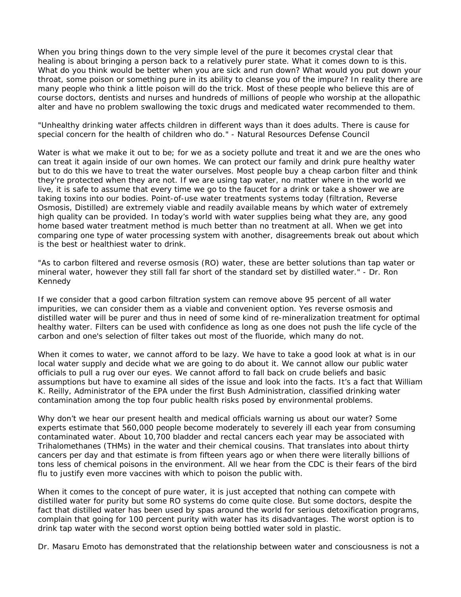When you bring things down to the very simple level of the pure it becomes crystal clear that healing is about bringing a person back to a relatively purer state. What it comes down to is this. What do you think would be better when you are sick and run down? What would you put down your throat, some poison or something pure in its ability to cleanse you of the impure? In reality there are many people who think a little poison will do the trick. Most of these people who believe this are of course doctors, dentists and nurses and hundreds of millions of people who worship at the allopathic alter and have no problem swallowing the toxic drugs and medicated water recommended to them.

"Unhealthy drinking water affects children in different ways than it does adults. There is cause for special concern for the health of children who do." - Natural Resources Defense Council

Water is what we make it out to be; for we as a society pollute and treat it and we are the ones who can treat it again inside of our own homes. We can protect our family and drink pure healthy water but to do this we have to treat the water ourselves. Most people buy a cheap carbon filter and think they're protected when they are not. If we are using tap water, no matter where in the world we live, it is safe to assume that every time we go to the faucet for a drink or take a shower we are taking toxins into our bodies. Point-of-use water treatments systems today (filtration, Reverse Osmosis, Distilled) are extremely viable and readily available means by which water of extremely high quality can be provided. In today's world with water supplies being what they are, any good home based water treatment method is much better than no treatment at all. When we get into comparing one type of water processing system with another, disagreements break out about which is the best or healthiest water to drink.

"As to carbon filtered and reverse osmosis (RO) water, these are better solutions than tap water or mineral water, however they still fall far short of the standard set by distilled water." - Dr. Ron Kennedy

If we consider that a good carbon filtration system can remove above 95 percent of all water impurities, we can consider them as a viable and convenient option. Yes reverse osmosis and distilled water will be purer and thus in need of some kind of re-mineralization treatment for optimal healthy water. Filters can be used with confidence as long as one does not push the life cycle of the carbon and one's selection of filter takes out most of the fluoride, which many do not.

When it comes to water, we cannot afford to be lazy. We have to take a good look at what is in our local water supply and decide what we are going to do about it. We cannot allow our public water officials to pull a rug over our eyes. We cannot afford to fall back on crude beliefs and basic assumptions but have to examine all sides of the issue and look into the facts. It's a fact that William K. Reilly, Administrator of the EPA under the first Bush Administration, classified drinking water contamination among the top four public health risks posed by environmental problems.

Why don't we hear our present health and medical officials warning us about our water? Some experts estimate that 560,000 people become moderately to severely ill each year from consuming contaminated water. About 10,700 bladder and rectal cancers each year may be associated with Trihalomethanes (THMs) in the water and their chemical cousins. That translates into about thirty cancers per day and that estimate is from fifteen years ago or when there were literally billions of tons less of chemical poisons in the environment. All we hear from the CDC is their fears of the bird flu to justify even more vaccines with which to poison the public with.

When it comes to the concept of pure water, it is just accepted that nothing can compete with distilled water for purity but some RO systems do come quite close. But some doctors, despite the fact that distilled water has been used by spas around the world for serious detoxification programs, complain that going for 100 percent purity with water has its disadvantages. The worst option is to drink tap water with the second worst option being bottled water sold in plastic.

Dr. Masaru Emoto has demonstrated that the relationship between water and consciousness is not a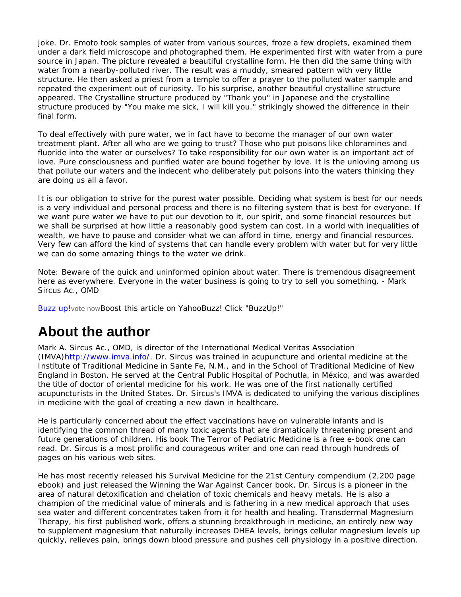joke. Dr. Emoto took samples of water from various sources, froze a few droplets, examined them under a dark field microscope and photographed them. He experimented first with water from a pure source in Japan. The picture revealed a beautiful crystalline form. He then did the same thing with water from a nearby-polluted river. The result was a muddy, smeared pattern with very little structure. He then asked a priest from a temple to offer a prayer to the polluted water sample and repeated the experiment out of curiosity. To his surprise, another beautiful crystalline structure appeared. The Crystalline structure produced by "Thank you" in Japanese and the crystalline structure produced by "You make me sick, I will kill you." strikingly showed the difference in their final form.

To deal effectively with pure water, we in fact have to become the manager of our own water treatment plant. After all who are we going to trust? Those who put poisons like chloramines and fluoride into the water or ourselves? To take responsibility for our own water is an important act of love. Pure consciousness and purified water are bound together by love. It is the unloving among us that pollute our waters and the indecent who deliberately put poisons into the waters thinking they are doing us all a favor.

It is our obligation to strive for the purest water possible. Deciding what system is best for our needs is a very individual and personal process and there is no filtering system that is best for everyone. If we want pure water we have to put our devotion to it, our spirit, and some financial resources but we shall be surprised at how little a reasonably good system can cost. In a world with inequalities of wealth, we have to pause and consider what we can afford in time, energy and financial resources. Very few can afford the kind of systems that can handle every problem with water but for very little we can do some amazing things to the water we drink.

Note: Beware of the quick and uninformed opinion about water. There is tremendous disagreement here as everywhere. Everyone in the water business is going to try to sell you something. - Mark Sircus Ac., OMD

[Buzz up!vote now](http://buzz.yahoo.com/article/file/%252F%252F%252FC%253A%252FJudy%252520Data%252FStirwands%252FArticles%252FPure%252520Water%252C%252520Pure%252520Consciousness%252520Finding%252520a%252520Water%252520Filter%252520That%252520Works.mht)*Boost this article on YahooBuzz! Click "BuzzUp!"*

## **About the author**

Mark A. Sircus Ac., OMD, is director of the International Medical Veritas Association (IMVA)<http://www.imva.info/>. Dr. Sircus was trained in acupuncture and oriental medicine at the Institute of Traditional Medicine in Sante Fe, N.M., and in the School of Traditional Medicine of New England in Boston. He served at the Central Public Hospital of Pochutla, in México, and was awarded the title of doctor of oriental medicine for his work. He was one of the first nationally certified acupuncturists in the United States. Dr. Sircus's IMVA is dedicated to unifying the various disciplines in medicine with the goal of creating a new dawn in healthcare.

He is particularly concerned about the effect vaccinations have on vulnerable infants and is identifying the common thread of many toxic agents that are dramatically threatening present and future generations of children. His book The Terror of Pediatric Medicine is a free e-book one can read. Dr. Sircus is a most prolific and courageous writer and one can read through hundreds of pages on his various web sites.

He has most recently released his Survival Medicine for the 21st Century compendium (2,200 page ebook) and just released the Winning the War Against Cancer book. Dr. Sircus is a pioneer in the area of natural detoxification and chelation of toxic chemicals and heavy metals. He is also a champion of the medicinal value of minerals and is fathering in a new medical approach that uses sea water and different concentrates taken from it for health and healing. Transdermal Magnesium Therapy, his first published work, offers a stunning breakthrough in medicine, an entirely new way to supplement magnesium that naturally increases DHEA levels, brings cellular magnesium levels up quickly, relieves pain, brings down blood pressure and pushes cell physiology in a positive direction.